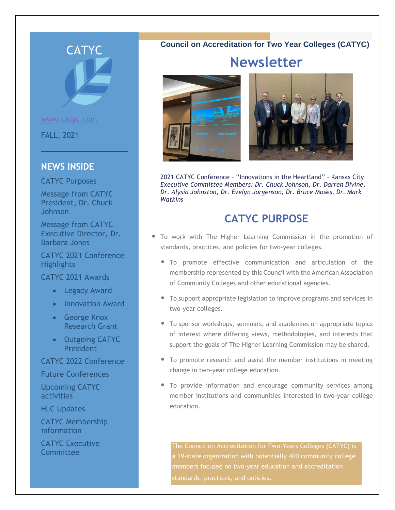

[www.catyc.com](http://www.catyc.com/)

FALL, 2021

## **NEWS INSIDE**

CATYC Purposes

Message from CATYC President, Dr. Chuck Johnson

Message from CATYC Executive Director, Dr. Barbara Jones

CATYC 2021 Conference Highlights

CATYC 2021 Awards

- Legacy Award
- Innovation Award
- George Knox Research Grant
- Outgoing CATYC President

## CATYC 2022 Conference

Future Conferences

Upcoming CATYC activities

HLC Updates

CATYC Membership information

CATYC Executive **Committee** 

## **Council on Accreditation for Two Year Colleges (CATYC)**

# **Newsletter**





2021 CATYC Conference – "Innovations in the Heartland" – Kansas City *Executive Committee Members: Dr. Chuck Johnson, Dr. Darren Divine, Dr. Alysia Johnston, Dr. Evelyn Jorgenson, Dr. Bruce Moses, Dr. Mark Watkins*

# **CATYC PURPOSE**

- To work with The Higher Learning Commission in the promotion of standards, practices, and policies for two-year colleges.
	- To promote effective communication and articulation of the membership represented by this Council with the American Association of Community Colleges and other educational agencies.
	- To support appropriate legislation to improve programs and services in two-year colleges.
	- To sponsor workshops, seminars, and academies on appropriate topics of interest where differing views, methodologies, and interests that support the goals of The Higher Learning Commission may be shared.
	- To promote research and assist the member institutions in meeting change in two-year college education.
	- To provide information and encourage community services among member institutions and communities interested in two-year college education.

The Council on Accreditation for Two-Years Colleges (CATYC) is a 19-state organization with potentially 400 community college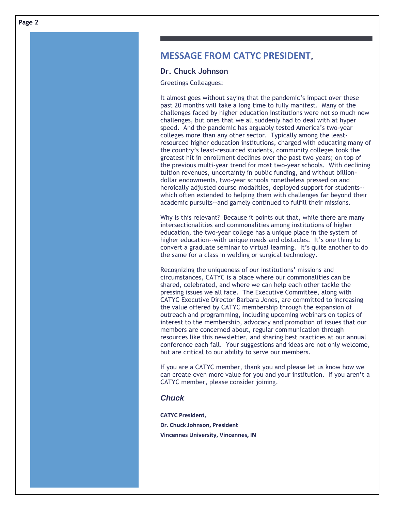## **MESSAGE FROM CATYC PRESIDENT,**

#### **Dr. Chuck Johnson**

Greetings Colleagues:

It almost goes without saying that the pandemic's impact over these past 20 months will take a long time to fully manifest. Many of the challenges faced by higher education institutions were not so much new challenges, but ones that we all suddenly had to deal with at hyper speed. And the pandemic has arguably tested America's two-year colleges more than any other sector. Typically among the leastresourced higher education institutions, charged with educating many of the country's least-resourced students, community colleges took the greatest hit in enrollment declines over the past two years; on top of the previous multi-year trend for most two-year schools. With declining tuition revenues, uncertainty in public funding, and without billiondollar endowments, two-year schools nonetheless pressed on and heroically adjusted course modalities, deployed support for students- which often extended to helping them with challenges far beyond their academic pursuits--and gamely continued to fulfill their missions.

Why is this relevant? Because it points out that, while there are many intersectionalities and commonalities among institutions of higher education, the two-year college has a unique place in the system of higher education--with unique needs and obstacles. It's one thing to convert a graduate seminar to virtual learning. It's quite another to do the same for a class in welding or surgical technology.

Recognizing the uniqueness of our institutions' missions and circumstances, CATYC is a place where our commonalities can be shared, celebrated, and where we can help each other tackle the pressing issues we all face. The Executive Committee, along with CATYC Executive Director Barbara Jones, are committed to increasing the value offered by CATYC membership through the expansion of outreach and programming, including upcoming webinars on topics of interest to the membership, advocacy and promotion of issues that our members are concerned about, regular communication through resources like this newsletter, and sharing best practices at our annual conference each fall. Your suggestions and ideas are not only welcome, but are critical to our ability to serve our members.

If you are a CATYC member, thank you and please let us know how we can create even more value for you and your institution. If you aren't a CATYC member, please consider joining.

## *Chuck*

**CATYC President, Dr. Chuck Johnson, President Vincennes University, Vincennes, IN**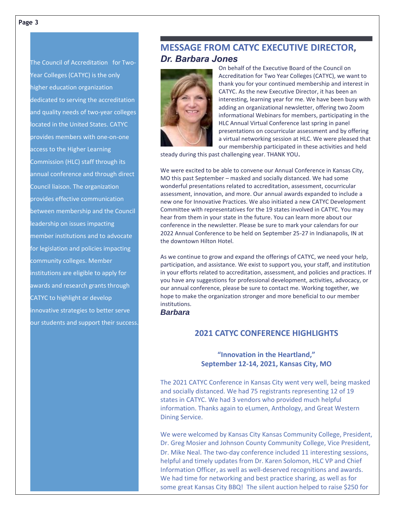The Council of Accreditation for Two-Year Colleges (CATYC) is the only higher education organization dedicated to serving the accreditation and quality needs of two-year colleges located in the United States. CATYC provides members with one-on-one access to the Higher Learning Commission (HLC) staff through its annual conference and through direct Council liaison. The organization provides effective communication between membership and the Council leadership on issues impacting member institutions and to advocate for legislation and policies impacting community colleges. Member institutions are eligible to apply for awards and research grants through CATYC to highlight or develop innovative strategies to better serve our students and support their success.

## **MESSAGE FROM CATYC EXECUTIVE DIRECTOR***, Dr. Barbara Jones*



On behalf of the Executive Board of the Council on Accreditation for Two Year Colleges (CATYC), we want to thank you for your continued membership and interest in CATYC. As the new Executive Director, it has been an interesting, learning year for me. We have been busy with adding an organizational newsletter, offering two Zoom informational Webinars for members, participating in the HLC Annual Virtual Conference last spring in panel presentations on cocurricular assessment and by offering a virtual networking session at HLC. We were pleased that our membership participated in these activities and held

steady during this past challenging year. THANK YOU**.**

We were excited to be able to convene our Annual Conference in Kansas City, MO this past September – masked and socially distanced. We had some wonderful presentations related to accreditation, assessment, cocurricular assessment, innovation, and more. Our annual awards expanded to include a new one for Innovative Practices. We also initiated a new CATYC Development Committee with representatives for the 19 states involved in CATYC. You may hear from them in your state in the future. You can learn more about our conference in the newsletter. Please be sure to mark your calendars for our 2022 Annual Conference to be held on September 25-27 in Indianapolis, IN at the downtown Hilton Hotel.

As we continue to grow and expand the offerings of CATYC, we need your help, participation, and assistance. We exist to support you, your staff, and institution in your efforts related to accreditation, assessment, and policies and practices. If you have any suggestions for professional development, activities, advocacy, or our annual conference, please be sure to contact me. Working together, we hope to make the organization stronger and more beneficial to our member institutions.

*Barbara*

## **2021 CATYC CONFERENCE HIGHLIGHTS**

## **"Innovation in the Heartland," September 12-14, 2021, Kansas City, MO**

The 2021 CATYC Conference in Kansas City went very well, being masked and socially distanced. We had 75 registrants representing 12 of 19 states in CATYC. We had 3 vendors who provided much helpful information. Thanks again to eLumen, Anthology, and Great Western Dining Service.

We were welcomed by Kansas City Kansas Community College, President, Dr. Greg Mosier and Johnson County Community College, Vice President, Dr. Mike Neal. The two-day conference included 11 interesting sessions, helpful and timely updates from Dr. Karen Solomon, HLC VP and Chief Information Officer, as well as well-deserved recognitions and awards. We had time for networking and best practice sharing, as well as for some great Kansas City BBQ! The silent auction helped to raise \$250 for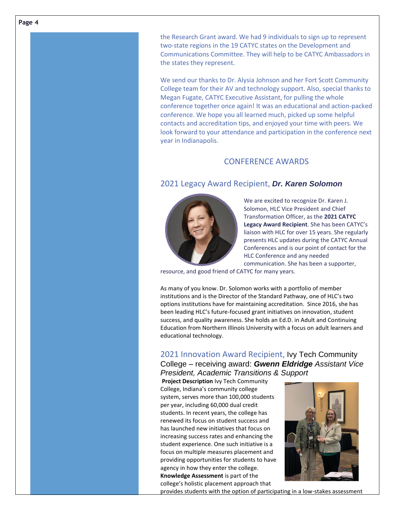the Research Grant award. We had 9 individuals to sign up to represent two-state regions in the 19 CATYC states on the Development and Communications Committee. They will help to be CATYC Ambassadors in the states they represent.

We send our thanks to Dr. Alysia Johnson and her Fort Scott Community College team for their AV and technology support. Also, special thanks to Megan Fugate, CATYC Executive Assistant, for pulling the whole conference together once again! It was an educational and action-packed conference. We hope you all learned much, picked up some helpful contacts and accreditation tips, and enjoyed your time with peers. We look forward to your attendance and participation in the conference next year in Indianapolis.

## CONFERENCE AWARDS

## 2021 Legacy Award Recipient, *Dr. Karen Solomon*



We are excited to recognize Dr. Karen J. Solomon, HLC Vice President and Chief Transformation Officer, as the **2021 CATYC Legacy Award Recipient**. She has been CATYC's liaison with HLC for over 15 years. She regularly presents HLC updates during the CATYC Annual Conferences and is our point of contact for the HLC Conference and any needed communication. She has been a supporter,

resource, and good friend of CATYC for many years.

As many of you know. Dr. Solomon works with a portfolio of member institutions and is the Director of the Standard Pathway, one of HLC's two options institutions have for maintaining accreditation. Since 2016, she has been leading HLC's future-focused grant initiatives on innovation, student success, and quality awareness. She holds an Ed.D. in Adult and Continuing Education from Northern Illinois University with a focus on adult learners and educational technology.

## 2021 Innovation Award Recipient, Ivy Tech Community College – receiving award: *Gwenn Eldridge Assistant Vice President, Academic Transitions & Support*

**Project Description** Ivy Tech Community College, Indiana's community college system, serves more than 100,000 students per year, including 60,000 dual credit students. In recent years, the college has renewed its focus on student success and has launched new initiatives that focus on increasing success rates and enhancing the student experience. One such initiative is a focus on multiple measures placement and providing opportunities for students to have agency in how they enter the college. **Knowledge Assessment** is part of the college's holistic placement approach that



provides students with the option of participating in a low-stakes assessment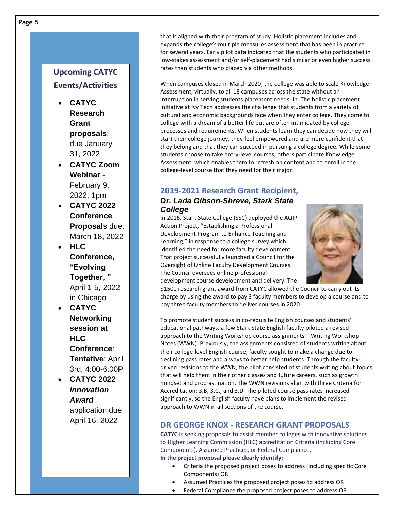## **Upcoming CATYC Events/Activities**

- **CATYC Research Grant proposals**: due January 31, 2022
- **CATYC Zoom Webinar** - February 9, 2022; 1pm
- **CATYC 2022 Conference Proposals** due: March 18, 2022
- **HLC Conference, "Evolving Together, "** April 1-5, 2022 in Chicago
- **CATYC Networking session at HLC Conference**: **Tentative**: April 3rd, 4:00-6:00P
- **CATYC 2022** *Innovation Award* application due April 16, 2022

that is aligned with their program of study. Holistic placement includes and expands the college's multiple measures assessment that has been in practice for several years. Early pilot data indicated that the students who participated in low-stakes assessment and/or self-placement had similar or even higher success rates than students who placed via other methods.

When campuses closed in March 2020, the college was able to scale Knowledge Assessment, virtually, to all 18 campuses across the state without an interruption in serving students placement needs. In. The holistic placement initiative at Ivy Tech addresses the challenge that students from a variety of cultural and economic backgrounds face when they enter college. They come to college with a dream of a better life but are often intimidated by college processes and requirements. When students learn they can decide how they will start their college journey, they feel empowered and are more confident that they belong and that they can succeed in pursuing a college degree. While some students choose to take entry-level courses, others participate Knowledge Assessment, which enables them to refresh on content and to enroll in the college-level course that they need for their major.

## **2019-2021 Research Grant Recipient,**

#### *Dr. Lada Gibson-Shreve, Stark State College*

In 2016, Stark State College (SSC) deployed the AQIP Action Project, "Establishing a Professional Development Program to Enhance Teaching and Learning," in response to a college survey which identified the need for more faculty development. That project successfully launched a Council for the Oversight of Online Faculty Development Courses. The Council oversees online professional development course development and delivery. The



\$1500 research grant award from CATYC allowed the Council to carry out its charge by using the award to pay 3 faculty members to develop a course and to pay three faculty members to deliver courses in 2020.

To promote student success in co-requisite English courses and students' educational pathways, a few Stark State English faculty piloted a revised approach to the Writing Workshop course assignments – Writing Workshop Notes (WWN). Previously, the assignments consisted of students writing about their college-level English course; faculty sought to make a change due to declining pass rates and a ways to better help students. Through the facultydriven revisions to the WWN, the pilot consisted of students writing about topics that will help them in their other classes and future careers, such as growth mindset and procrastination. The WWN revisions align with three Criteria for Accreditation: 3.B, 3.C., and 3.D. The piloted course pass rates increased significantly, so the English faculty have plans to implement the revised approach to WWN in all sections of the course.

## **DR GEORGE KNOX - RESEARCH GRANT PROPOSALS**

**CATYC** is seeking proposals to assist member colleges with innovative solutions to Higher Learning Commission (HLC) accreditation Criteria (including Core Components), Assumed Practices, or Federal Compliance. **In the project proposal please clearly identify:**

- Criteria the proposed project poses to address (including specific Core Components) OR
- Assumed Practices the proposed project poses to address OR
- Federal Compliance the proposed project poses to address OR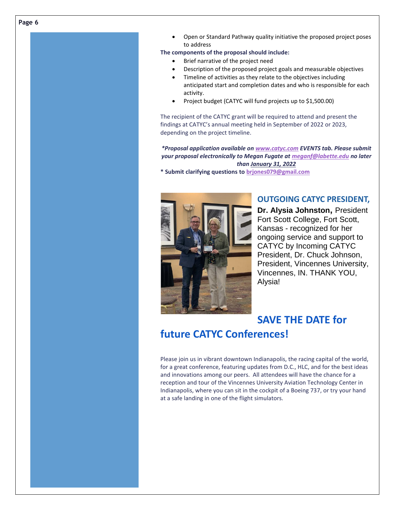• Open or Standard Pathway quality initiative the proposed project poses to address

**The components of the proposal should include:**

- Brief narrative of the project need
- Description of the proposed project goals and measurable objectives
- Timeline of activities as they relate to the objectives including anticipated start and completion dates and who is responsible for each activity.
- Project budget (CATYC will fund projects up to \$1,500.00)

The recipient of the CATYC grant will be required to attend and present the findings at CATYC's annual meeting held in September of 2022 or 2023, depending on the project timeline.

*\*Proposal application available on [www.catyc.com](http://www.catyc.com/) EVENTS tab. Please submit your proposal electronically to Megan Fugate a[t meganf@labette.edu](mailto:meganf@labette.edu) no later than January 31, 2022*

**\* Submit clarifying questions to [brjones079@gmail.com](mailto:brjones079@gmail.com)**



## **OUTGOING CATYC PRESIDENT,**

**Dr. Alysia Johnston,** President Fort Scott College, Fort Scott, Kansas - recognized for her ongoing service and support to CATYC by Incoming CATYC President, Dr. Chuck Johnson, President, Vincennes University, Vincennes, IN. THANK YOU, Alysia!

## **SAVE THE DATE for future CATYC Conferences!**

Please join us in vibrant downtown Indianapolis, the racing capital of the world, for a great conference, featuring updates from D.C., HLC, and for the best ideas and innovations among our peers. All attendees will have the chance for a reception and tour of the Vincennes University Aviation Technology Center in Indianapolis, where you can sit in the cockpit of a Boeing 737, or try your hand at a safe landing in one of the flight simulators.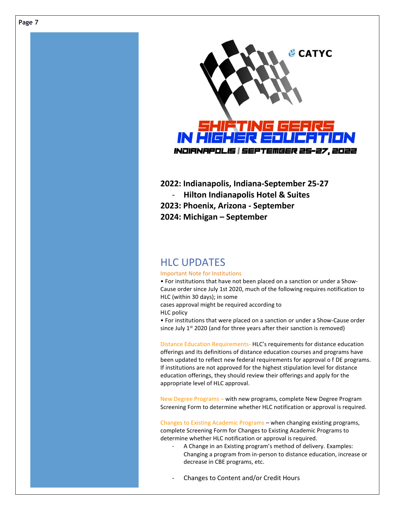

**2022: Indianapolis, Indiana-September 25-27** - **Hilton Indianapolis Hotel & Suites 2023: Phoenix, Arizona - September 2024: Michigan – September**

## HLC UPDATES

#### Important Note for Institutions

• For institutions that have not been placed on a sanction or under a Show-Cause order since July 1st 2020, much of the following requires notification to HLC (within 30 days); in some

cases approval might be required according to HLC policy

• For institutions that were placed on a sanction or under a Show-Cause order since July  $1<sup>st</sup>$  2020 (and for three years after their sanction is removed)

Distance Education Requirements- HLC's requirements for distance education offerings and its definitions of distance education courses and programs have been updated to reflect new federal requirements for approval o f DE programs. If institutions are not approved for the highest stipulation level for distance education offerings, they should review their offerings and apply for the appropriate level of HLC approval.

New Degree Programs – with new programs, complete New Degree Program Screening Form to determine whether HLC notification or approval is required.

Changes to Existing Academic Programs – when changing existing programs, complete Screening Form for Changes to Existing Academic Programs to determine whether HLC notification or approval is required.

- A Change in an Existing program's method of delivery. Examples: Changing a program from in-person to distance education, increase or decrease in CBE programs, etc.
- Changes to Content and/or Credit Hours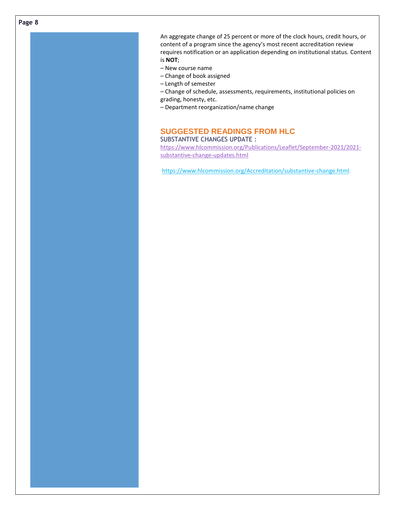**Page 8**

An aggregate change of 25 percent or more of the clock hours, credit hours, or content of a program since the agency's most recent accreditation review requires notification or an application depending on institutional status. Content is **NOT**;

- New course name
- Change of book assigned
- Length of semester

– Change of schedule, assessments, requirements, institutional policies on grading, honesty, etc.

– Department reorganization/name change

#### **SUGGESTED READINGS FROM HLC** SUBSTANTIVE CHANGES UPDATE :

[https://www.hlcommission.org/Publications/Leaflet/September-2021/2021](https://www.hlcommission.org/Publications/Leaflet/September-2021/2021-substantive-change-updates.html) [substantive-change-updates.html](https://www.hlcommission.org/Publications/Leaflet/September-2021/2021-substantive-change-updates.html)

[https://www.hlcommission.org/Accreditation/substantive-change.html.](https://www.hlcommission.org/Accreditation/substantive-change.html)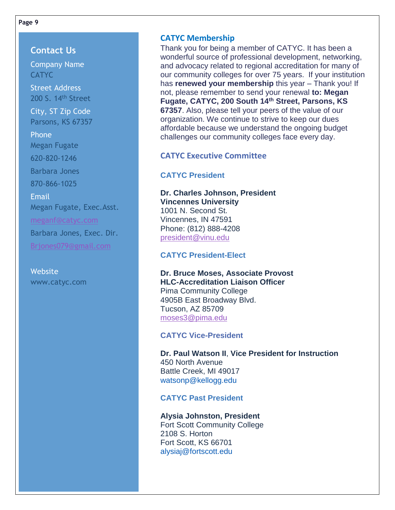**Page 9**

**Contact Us** Company Name **CATYC** Street Address 200 S. 14th Street City, ST Zip Code Parsons, KS 67357 Phone Megan Fugate 620-820-1246 Barbara Jones 870-866-1025 Email Megan Fugate, Exec.Asst. [meganf@catyc.com](mailto:meganf@catyc.com) Barbara Jones, Exec. Dir. [Brjones079@gmail.com](mailto:Brjones079@gmail.com)

**Website** www.catyc.com

## **CATYC Membership**

Thank you for being a member of CATYC. It has been a wonderful source of professional development, networking, and advocacy related to regional accreditation for many of our community colleges for over 75 years. If your institution has **renewed your membership** this year – Thank you! If not, please remember to send your renewal **to: Megan Fugate, CATYC, 200 South 14th Street, Parsons, KS 67357**. Also, please tell your peers of the value of our organization. We continue to strive to keep our dues affordable because we understand the ongoing budget challenges our community colleges face every day.

## **CATYC Executive Committee**

## **CATYC President**

## **Dr. Charles Johnson, President Vincennes University**

1001 N. Second St. Vincennes, IN 47591 Phone: (812) 888-4208 [president@vinu.edu](mailto:president@vinu.edu)

## **CATYC President-Elect**

## **Dr. Bruce Moses, Associate Provost HLC-Accreditation Liaison Officer** Pima Community College 4905B East Broadway Blvd. Tucson, AZ 85709 [moses3@pima.edu](mailto:moses3@pima.edu)

#### **CATYC Vice-President**

**Dr. Paul Watson II**, **Vice President for Instruction** 450 North Avenue Battle Creek, MI 49017 [watsonp@kellogg.edu](mailto:watsonp@kellogg.edu)

## **CATYC Past President**

## **Alysia Johnston, President** Fort Scott Community College 2108 S. Horton

Fort Scott, KS 66701 [alysiaj@fortscott.edu](mailto:alysiaj@fortscott.edu)